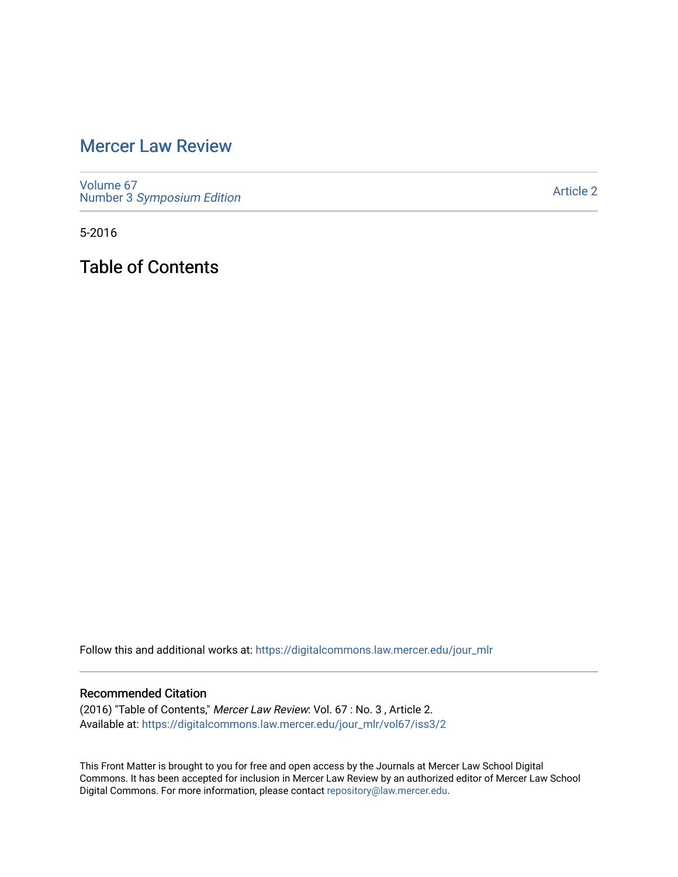# [Mercer Law Review](https://digitalcommons.law.mercer.edu/jour_mlr)

[Volume 67](https://digitalcommons.law.mercer.edu/jour_mlr/vol67) Number 3 [Symposium Edition](https://digitalcommons.law.mercer.edu/jour_mlr/vol67/iss3)

[Article 2](https://digitalcommons.law.mercer.edu/jour_mlr/vol67/iss3/2) 

5-2016

Table of Contents

Follow this and additional works at: [https://digitalcommons.law.mercer.edu/jour\\_mlr](https://digitalcommons.law.mercer.edu/jour_mlr?utm_source=digitalcommons.law.mercer.edu%2Fjour_mlr%2Fvol67%2Fiss3%2F2&utm_medium=PDF&utm_campaign=PDFCoverPages)

#### Recommended Citation

(2016) "Table of Contents," Mercer Law Review: Vol. 67 : No. 3 , Article 2. Available at: [https://digitalcommons.law.mercer.edu/jour\\_mlr/vol67/iss3/2](https://digitalcommons.law.mercer.edu/jour_mlr/vol67/iss3/2?utm_source=digitalcommons.law.mercer.edu%2Fjour_mlr%2Fvol67%2Fiss3%2F2&utm_medium=PDF&utm_campaign=PDFCoverPages)

This Front Matter is brought to you for free and open access by the Journals at Mercer Law School Digital Commons. It has been accepted for inclusion in Mercer Law Review by an authorized editor of Mercer Law School Digital Commons. For more information, please contact [repository@law.mercer.edu](mailto:repository@law.mercer.edu).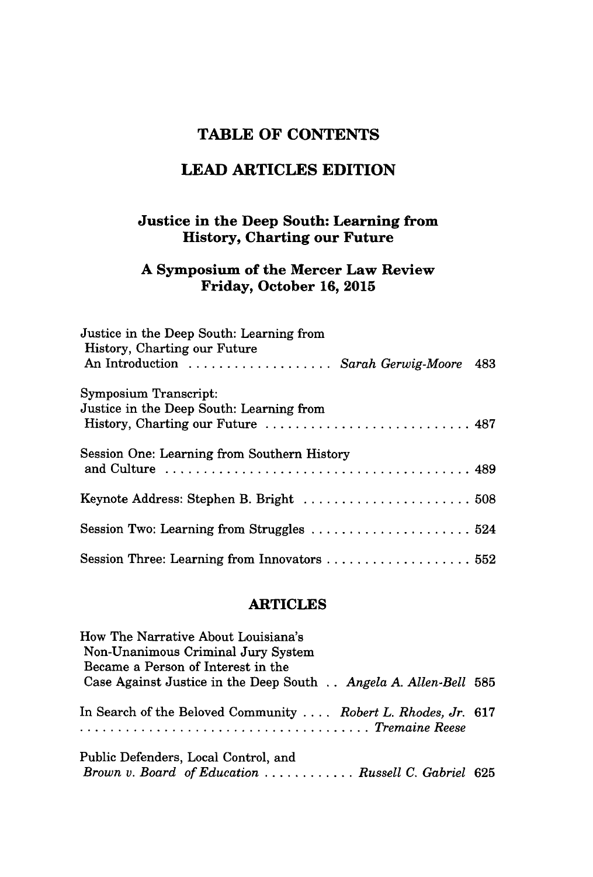# **TABLE OF CONTENTS**

# **LEAD ARTICLES EDITION**

### **Justice in the Deep South: Learning from History, Charting our Future**

### **A Symposium of the Mercer Law Review Friday, October 16, 2015**

| Justice in the Deep South: Learning from<br>History, Charting our Future             |  |
|--------------------------------------------------------------------------------------|--|
| An Introduction  Sarah Gerwig-Moore 483                                              |  |
| Symposium Transcript:                                                                |  |
| Justice in the Deep South: Learning from                                             |  |
|                                                                                      |  |
| Session One: Learning from Southern History                                          |  |
|                                                                                      |  |
| Keynote Address: Stephen B. Bright  508                                              |  |
|                                                                                      |  |
| Session Two: Learning from Struggles $\ldots \ldots \ldots \ldots \ldots \ldots 524$ |  |
| Session Three: Learning from Innovators  552                                         |  |

#### **ARTICLES**

| How The Narrative About Louisiana's<br>Non-Unanimous Criminal Jury System<br>Became a Person of Interest in the |  |
|-----------------------------------------------------------------------------------------------------------------|--|
| Case Against Justice in the Deep South Angela A. Allen-Bell 585                                                 |  |
| In Search of the Beloved Community  Robert L. Rhodes, Jr. 617<br>Tremaine Reese                                 |  |
| Public Defenders, Local Control, and<br>Brown v. Board of Education  Russell C. Gabriel 625                     |  |